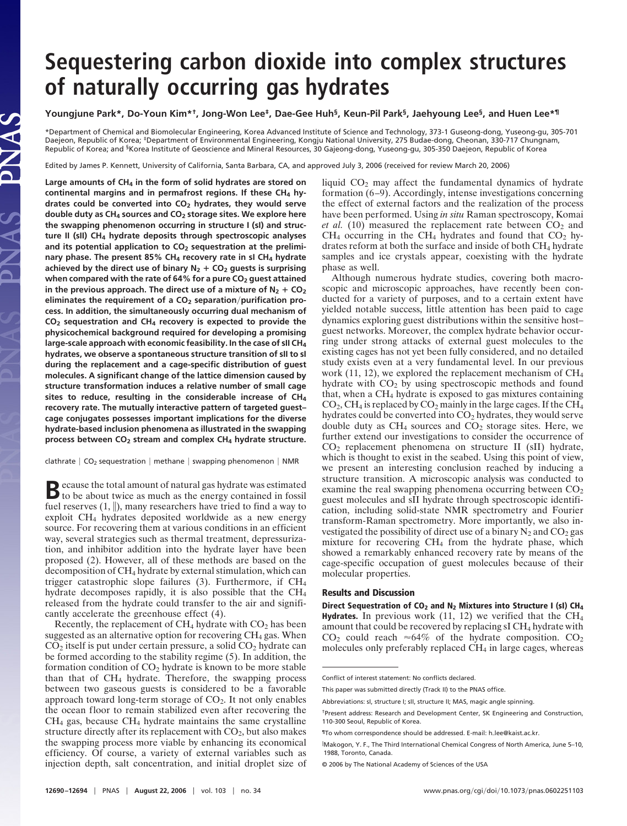# **Sequestering carbon dioxide into complex structures of naturally occurring gas hydrates**

## **Youngjune Park\*, Do-Youn Kim\*†, Jong-Won Lee‡, Dae-Gee Huh§, Keun-Pil Park§, Jaehyoung Lee§, and Huen Lee\*¶**

\*Department of Chemical and Biomolecular Engineering, Korea Advanced Institute of Science and Technology, 373-1 Guseong-dong, Yuseong-gu, 305-701 Daejeon, Republic of Korea; ‡Department of Environmental Engineering, Kongju National University, 275 Budae-dong, Cheonan, 330-717 Chungnam, Republic of Korea; and §Korea Institute of Geoscience and Mineral Resources, 30 Gajeong-dong, Yuseong-gu, 305-350 Daejeon, Republic of Korea

Edited by James P. Kennett, University of California, Santa Barbara, CA, and approved July 3, 2006 (received for review March 20, 2006)

**Large amounts of CH4 in the form of solid hydrates are stored on** continental margins and in permafrost regions. If these CH<sub>4</sub> hy**drates could be converted into CO2 hydrates, they would serve double duty as CH4 sources and CO2 storage sites. We explore here the swapping phenomenon occurring in structure I (sI) and structure II (sII) CH4 hydrate deposits through spectroscopic analyses** and its potential application to CO<sub>2</sub> sequestration at the prelimi**nary phase. The present 85% CH4 recovery rate in sI CH4 hydrate** achieved by the direct use of binary  $N_2$  +  $CO_2$  guests is surprising **when compared with the rate of 64% for a pure CO2 guest attained** in the previous approach. The direct use of a mixture of  $N_2$  +  $CO_2$ eliminates the requirement of a CO<sub>2</sub> separation/purification pro**cess. In addition, the simultaneously occurring dual mechanism of CO2 sequestration and CH4 recovery is expected to provide the physicochemical background required for developing a promising large-scale approach with economic feasibility. In the case of sII CH4 hydrates, we observe a spontaneous structure transition of sII to sI during the replacement and a cage-specific distribution of guest molecules. A significant change of the lattice dimension caused by structure transformation induces a relative number of small cage sites to reduce, resulting in the considerable increase of CH4 recovery rate. The mutually interactive pattern of targeted guest– cage conjugates possesses important implications for the diverse hydrate-based inclusion phenomena as illustrated in the swapping process between CO2 stream and complex CH4 hydrate structure.**

clathrate  $\vert$  CO<sub>2</sub> sequestration  $\vert$  methane  $\vert$  swapping phenomenon  $\vert$  NMR

**B**ecause the total amount of natural gas hydrate was estimated to be about twice as much as the energy contained in fossil fuel reserves  $(1, \|)$ , many researchers have tried to find a way to exploit CH4 hydrates deposited worldwide as a new energy source. For recovering them at various conditions in an efficient way, several strategies such as thermal treatment, depressurization, and inhibitor addition into the hydrate layer have been proposed (2). However, all of these methods are based on the decomposition of CH4 hydrate by external stimulation, which can trigger catastrophic slope failures (3). Furthermore, if CH4 hydrate decomposes rapidly, it is also possible that the CH4 released from the hydrate could transfer to the air and significantly accelerate the greenhouse effect (4).

Recently, the replacement of  $CH_4$  hydrate with  $CO_2$  has been suggested as an alternative option for recovering CH<sub>4</sub> gas. When  $CO<sub>2</sub>$  itself is put under certain pressure, a solid  $CO<sub>2</sub>$  hydrate can be formed according to the stability regime (5). In addition, the formation condition of  $CO<sub>2</sub>$  hydrate is known to be more stable than that of  $CH<sub>4</sub>$  hydrate. Therefore, the swapping process between two gaseous guests is considered to be a favorable approach toward long-term storage of  $CO<sub>2</sub>$ . It not only enables the ocean floor to remain stabilized even after recovering the  $CH<sub>4</sub>$  gas, because  $CH<sub>4</sub>$  hydrate maintains the same crystalline structure directly after its replacement with  $CO<sub>2</sub>$ , but also makes the swapping process more viable by enhancing its economical efficiency. Of course, a variety of external variables such as injection depth, salt concentration, and initial droplet size of liquid CO2 may affect the fundamental dynamics of hydrate formation (6–9). Accordingly, intense investigations concerning the effect of external factors and the realization of the process have been performed. Using *in situ* Raman spectroscopy, Komai *et al.* (10) measured the replacement rate between  $CO<sub>2</sub>$  and  $CH_4$  occurring in the CH<sub>4</sub> hydrates and found that  $CO_2$  hydrates reform at both the surface and inside of both CH4 hydrate samples and ice crystals appear, coexisting with the hydrate phase as well.

Although numerous hydrate studies, covering both macroscopic and microscopic approaches, have recently been conducted for a variety of purposes, and to a certain extent have yielded notable success, little attention has been paid to cage dynamics exploring guest distributions within the sensitive host– guest networks. Moreover, the complex hydrate behavior occurring under strong attacks of external guest molecules to the existing cages has not yet been fully considered, and no detailed study exists even at a very fundamental level. In our previous work (11, 12), we explored the replacement mechanism of CH<sub>4</sub> hydrate with  $CO<sub>2</sub>$  by using spectroscopic methods and found that, when a  $CH<sub>4</sub>$  hydrate is exposed to gas mixtures containing  $CO<sub>2</sub>$ , CH<sub>4</sub> is replaced by  $CO<sub>2</sub>$  mainly in the large cages. If the CH<sub>4</sub> hydrates could be converted into  $CO<sub>2</sub>$  hydrates, they would serve double duty as  $CH_4$  sources and  $CO_2$  storage sites. Here, we further extend our investigations to consider the occurrence of CO2 replacement phenomena on structure II (sII) hydrate, which is thought to exist in the seabed. Using this point of view, we present an interesting conclusion reached by inducing a structure transition. A microscopic analysis was conducted to examine the real swapping phenomena occurring between  $CO<sub>2</sub>$ guest molecules and sII hydrate through spectroscopic identification, including solid-state NMR spectrometry and Fourier transform-Raman spectrometry. More importantly, we also investigated the possibility of direct use of a binary  $N_2$  and  $CO_2$  gas mixture for recovering  $CH<sub>4</sub>$  from the hydrate phase, which showed a remarkably enhanced recovery rate by means of the cage-specific occupation of guest molecules because of their molecular properties.

## **Results and Discussion**

**Direct Sequestration of CO2 and N2 Mixtures into Structure I (sI) CH4 Hydrates.** In previous work  $(11, 12)$  we verified that the CH<sub>4</sub> amount that could be recovered by replacing sI CH<sub>4</sub> hydrate with  $CO<sub>2</sub>$  could reach  $\approx 64\%$  of the hydrate composition.  $CO<sub>2</sub>$ molecules only preferably replaced CH4 in large cages, whereas

Conflict of interest statement: No conflicts declared.

This paper was submitted directly (Track II) to the PNAS office.

Abbreviations: sI, structure I; sII, structure II; MAS, magic angle spinning.

<sup>†</sup>Present address: Research and Development Center, SK Engineering and Construction, 110-300 Seoul, Republic of Korea.

<sup>&</sup>lt;sup>1</sup> To whom correspondence should be addressed. E-mail: h\_lee@kaist.ac.kr.

 $\mathbb I$ Makogon, Y. F., The Third International Chemical Congress of North America, June 5–10, 1988, Toronto, Canada.

<sup>© 2006</sup> by The National Academy of Sciences of the USA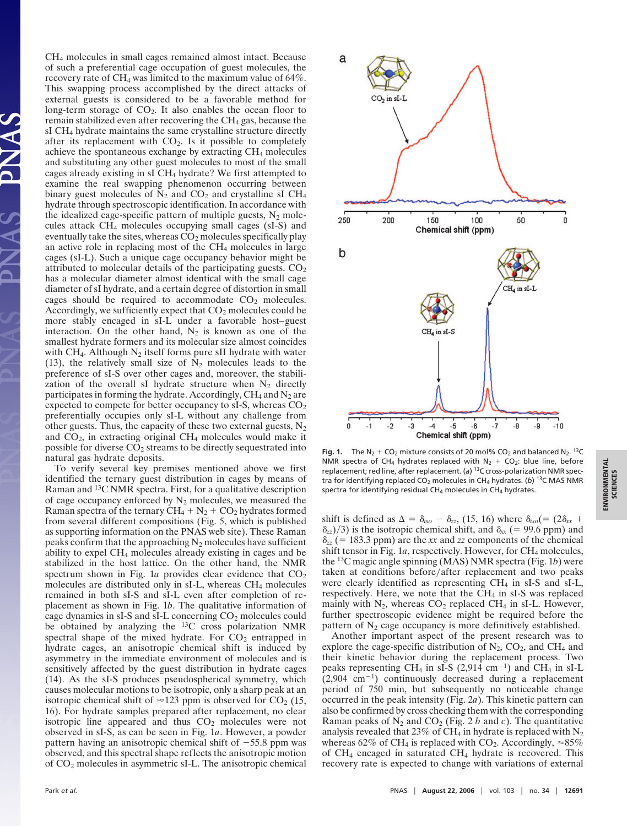CH4 molecules in small cages remained almost intact. Because of such a preferential cage occupation of guest molecules, the recovery rate of CH<sub>4</sub> was limited to the maximum value of 64%. This swapping process accomplished by the direct attacks of external guests is considered to be a favorable method for long-term storage of  $CO<sub>2</sub>$ . It also enables the ocean floor to remain stabilized even after recovering the  $CH<sub>4</sub>$  gas, because the sI CH4 hydrate maintains the same crystalline structure directly after its replacement with  $CO<sub>2</sub>$ . Is it possible to completely achieve the spontaneous exchange by extracting  $CH<sub>4</sub>$  molecules and substituting any other guest molecules to most of the small cages already existing in sI CH4 hydrate? We first attempted to examine the real swapping phenomenon occurring between binary guest molecules of  $N_2$  and  $CO_2$  and crystalline sI CH<sub>4</sub> hydrate through spectroscopic identification. In accordance with the idealized cage-specific pattern of multiple guests,  $N_2$  molecules attack CH4 molecules occupying small cages (sI-S) and eventually take the sites, whereas  $CO<sub>2</sub>$  molecules specifically play an active role in replacing most of the  $CH<sub>4</sub>$  molecules in large cages (sI-L). Such a unique cage occupancy behavior might be attributed to molecular details of the participating guests.  $CO<sub>2</sub>$ has a molecular diameter almost identical with the small cage diameter of sI hydrate, and a certain degree of distortion in small cages should be required to accommodate  $CO<sub>2</sub>$  molecules. Accordingly, we sufficiently expect that  $CO<sub>2</sub>$  molecules could be more stably encaged in sI-L under a favorable host–guest interaction. On the other hand,  $N_2$  is known as one of the smallest hydrate formers and its molecular size almost coincides with CH<sub>4</sub>. Although  $N_2$  itself forms pure sII hydrate with water (13), the relatively small size of  $N_2$  molecules leads to the preference of sI-S over other cages and, moreover, the stabilization of the overall sI hydrate structure when  $N_2$  directly participates in forming the hydrate. Accordingly,  $CH_4$  and  $N_2$  are expected to compete for better occupancy to sI-S, whereas  $CO<sub>2</sub>$ preferentially occupies only sI-L without any challenge from other guests. Thus, the capacity of these two external guests,  $N_2$ and  $CO<sub>2</sub>$ , in extracting original  $CH<sub>4</sub>$  molecules would make it possible for diverse CO2 streams to be directly sequestrated into natural gas hydrate deposits.

To verify several key premises mentioned above we first identified the ternary guest distribution in cages by means of Raman and <sup>13</sup>C NMR spectra. First, for a qualitative description of cage occupancy enforced by  $N_2$  molecules, we measured the Raman spectra of the ternary  $CH_4 + N_2 + CO_2$  hydrates formed from several different compositions (Fig. 5, which is published as supporting information on the PNAS web site). These Raman peaks confirm that the approaching  $N_2$  molecules have sufficient ability to expel CH4 molecules already existing in cages and be stabilized in the host lattice. On the other hand, the NMR spectrum shown in Fig. 1*a* provides clear evidence that  $CO<sub>2</sub>$ molecules are distributed only in sI-L, whereas CH<sub>4</sub> molecules remained in both sI-S and sI-L even after completion of replacement as shown in Fig. 1*b*. The qualitative information of cage dynamics in  $sI-S$  and  $sI-L$  concerning  $CO<sub>2</sub>$  molecules could be obtained by analyzing the 13C cross polarization NMR spectral shape of the mixed hydrate. For  $CO<sub>2</sub>$  entrapped in hydrate cages, an anisotropic chemical shift is induced by asymmetry in the immediate environment of molecules and is sensitively affected by the guest distribution in hydrate cages (14). As the sI-S produces pseudospherical symmetry, which causes molecular motions to be isotropic, only a sharp peak at an isotropic chemical shift of  $\approx$ 123 ppm is observed for CO<sub>2</sub> (15, 16). For hydrate samples prepared after replacement, no clear isotropic line appeared and thus  $CO<sub>2</sub>$  molecules were not observed in sI-S, as can be seen in Fig. 1*a*. However, a powder pattern having an anisotropic chemical shift of  $-55.8$  ppm was observed, and this spectral shape reflects the anisotropic motion of CO2 molecules in asymmetric sI-L. The anisotropic chemical



**Fig. 1.** The  $N_2$  + CO<sub>2</sub> mixture consists of 20 mol% CO<sub>2</sub> and balanced  $N_2$ . <sup>13</sup>C NMR spectra of CH<sub>4</sub> hydrates replaced with  $N_2 + CO_2$ : blue line, before replacement; red line, after replacement. (*a*) 13C cross-polarization NMR spectra for identifying replaced CO<sub>2</sub> molecules in CH<sub>4</sub> hydrates. (b) <sup>13</sup>C MAS NMR spectra for identifying residual  $CH_4$  molecules in  $CH_4$  hydrates.

shift is defined as  $\Delta = \delta_{iso} - \delta_{zz}$ , (15, 16) where  $\delta_{iso}$  (= (2 $\delta_{xx}$  +  $\delta_{zz}$ /3) is the isotropic chemical shift, and  $\delta_{xx}$  (= 99.6 ppm) and  $\delta_{zz}$  (= 183.3 ppm) are the *xx* and *zz* components of the chemical shift tensor in Fig. 1*a*, respectively. However, for CH<sub>4</sub> molecules, the 13C magic angle spinning (MAS) NMR spectra (Fig. 1*b*) were taken at conditions before/after replacement and two peaks were clearly identified as representing  $CH_4$  in sI-S and sI-L, respectively. Here, we note that the  $CH<sub>4</sub>$  in sI-S was replaced mainly with  $N_2$ , whereas  $CO_2$  replaced CH<sub>4</sub> in sI-L. However, further spectroscopic evidence might be required before the pattern of  $N_2$  cage occupancy is more definitively established.

Another important aspect of the present research was to explore the cage-specific distribution of  $N_2$ ,  $CO_2$ , and  $CH_4$  and their kinetic behavior during the replacement process. Two peaks representing CH<sub>4</sub> in sI-S (2,914 cm<sup>-1</sup>) and CH<sub>4</sub> in sI-L  $(2,904 \text{ cm}^{-1})$  continuously decreased during a replacement period of 750 min, but subsequently no noticeable change occurred in the peak intensity (Fig. 2*a*). This kinetic pattern can also be confirmed by cross checking them with the corresponding Raman peaks of  $N_2$  and  $CO_2$  (Fig. 2 *b* and *c*). The quantitative analysis revealed that 23% of CH<sub>4</sub> in hydrate is replaced with  $N_2$ whereas 62% of CH<sub>4</sub> is replaced with CO<sub>2</sub>. Accordingly,  $\approx 85\%$ of CH4 encaged in saturated CH4 hydrate is recovered. This recovery rate is expected to change with variations of external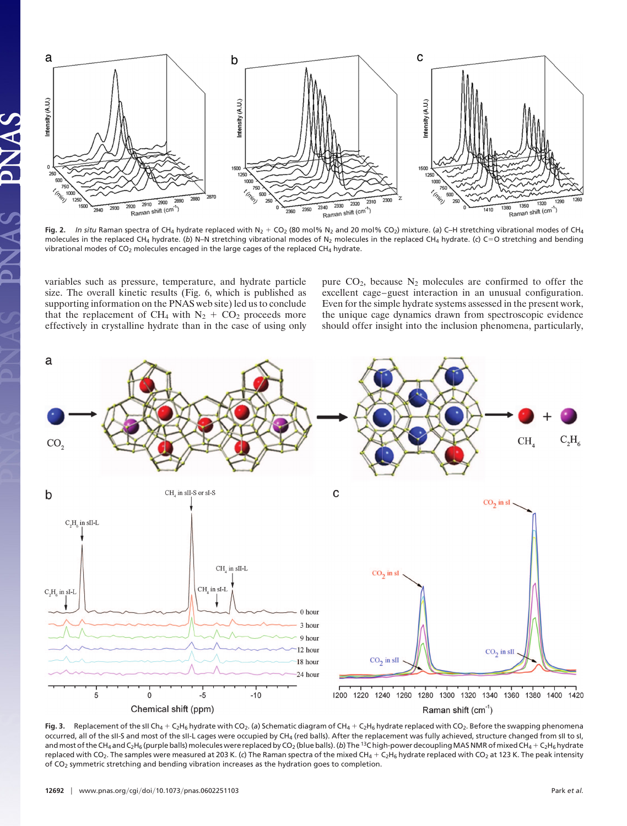

**Fig. 2.** In situ Raman spectra of CH<sub>4</sub> hydrate replaced with N<sub>2</sub> + CO<sub>2</sub> (80 mol% N<sub>2</sub> and 20 mol% CO<sub>2</sub>) mixture. (a) C–H stretching vibrational modes of CH<sub>4</sub> molecules in the replaced CH<sub>4</sub> hydrate. (b) N–N stretching vibrational modes of N<sub>2</sub> molecules in the replaced CH<sub>4</sub> hydrate. (c) C=O stretching and bending vibrational modes of  $CO<sub>2</sub>$  molecules encaged in the large cages of the replaced CH<sub>4</sub> hydrate.

variables such as pressure, temperature, and hydrate particle size. The overall kinetic results (Fig. 6, which is published as supporting information on the PNAS web site) led us to conclude that the replacement of CH<sub>4</sub> with  $N_2 + CO_2$  proceeds more effectively in crystalline hydrate than in the case of using only pure  $CO<sub>2</sub>$ , because  $N<sub>2</sub>$  molecules are confirmed to offer the excellent cage–guest interaction in an unusual configuration. Even for the simple hydrate systems assessed in the present work, the unique cage dynamics drawn from spectroscopic evidence should offer insight into the inclusion phenomena, particularly,



**Fig. 3.** Replacement of the sII Ch<sub>4</sub> + C<sub>2</sub>H<sub>6</sub> hydrate with CO<sub>2</sub>. (a) Schematic diagram of CH<sub>4</sub> + C<sub>2</sub>H<sub>6</sub> hydrate replaced with CO<sub>2</sub>. Before the swapping phenomena occurred, all of the sII-S and most of the sII-L cages were occupied by CH4 (red balls). After the replacement was fully achieved, structure changed from sII to sI, and most of the CH<sub>4</sub> and C<sub>2</sub>H<sub>6</sub> (purple balls) molecules were replaced by CO<sub>2</sub> (blue balls). (*b*) The <sup>13</sup>C high-power decoupling MAS NMR of mixed CH<sub>4</sub> + C<sub>2</sub>H<sub>6</sub> hydrate replaced with CO<sub>2</sub>. The samples were measured at 203 K. (c) The Raman spectra of the mixed CH<sub>4</sub> + C<sub>2</sub>H<sub>6</sub> hydrate replaced with CO<sub>2</sub> at 123 K. The peak intensity of CO2 symmetric stretching and bending vibration increases as the hydration goes to completion.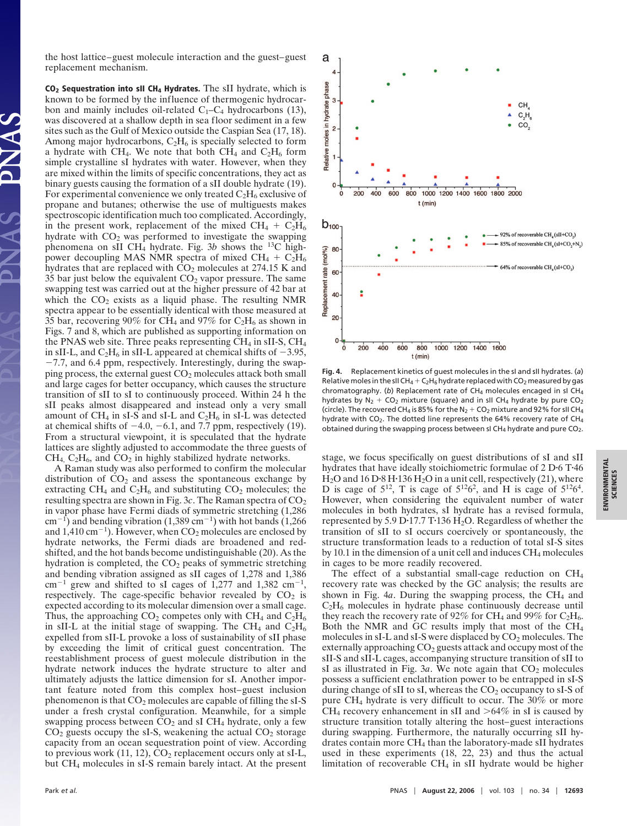the host lattice–guest molecule interaction and the guest–guest replacement mechanism.

**CO2 Sequestration into sII CH4 Hydrates.** The sII hydrate, which is known to be formed by the influence of thermogenic hydrocarbon and mainly includes oil-related  $C_1-C_4$  hydrocarbons (13), was discovered at a shallow depth in sea floor sediment in a few sites such as the Gulf of Mexico outside the Caspian Sea (17, 18). Among major hydrocarbons,  $C_2H_6$  is specially selected to form a hydrate with CH<sub>4</sub>. We note that both CH<sub>4</sub> and  $C_2H_6$  form simple crystalline sI hydrates with water. However, when they are mixed within the limits of specific concentrations, they act as binary guests causing the formation of a sII double hydrate (19). For experimental convenience we only treated  $C_2H_6$  exclusive of propane and butanes; otherwise the use of multiguests makes spectroscopic identification much too complicated. Accordingly, in the present work, replacement of the mixed  $CH_4 + C_2H_6$ hydrate with  $CO<sub>2</sub>$  was performed to investigate the swapping phenomena on sII CH4 hydrate. Fig. 3*b* shows the 13C highpower decoupling MAS NMR spectra of mixed  $CH_4 + C_2H_6$ hydrates that are replaced with  $CO<sub>2</sub>$  molecules at 274.15 K and 35 bar just below the equivalent  $CO<sub>2</sub>$  vapor pressure. The same swapping test was carried out at the higher pressure of 42 bar at which the  $CO<sub>2</sub>$  exists as a liquid phase. The resulting NMR spectra appear to be essentially identical with those measured at 35 bar, recovering 90% for CH<sub>4</sub> and 97% for C<sub>2</sub>H<sub>6</sub> as shown in Figs. 7 and 8, which are published as supporting information on the PNAS web site. Three peaks representing  $CH_4$  in sII-S,  $CH_4$ in sII-L, and  $C_2H_6$  in sII-L appeared at chemical shifts of  $-3.95$ ,  $-7.7$ , and 6.4 ppm, respectively. Interestingly, during the swapping process, the external guest  $CO<sub>2</sub>$  molecules attack both small and large cages for better occupancy, which causes the structure transition of sII to sI to continuously proceed. Within 24 h the sII peaks almost disappeared and instead only a very small amount of CH<sub>4</sub> in sI-S and sI-L and C<sub>2</sub>H<sub>6</sub> in sI-L was detected at chemical shifts of  $-4.0$ ,  $-6.1$ , and 7.7 ppm, respectively (19). From a structural viewpoint, it is speculated that the hydrate lattices are slightly adjusted to accommodate the three guests of  $CH<sub>4</sub>$ ,  $C<sub>2</sub>H<sub>6</sub>$ , and  $CO<sub>2</sub>$  in highly stabilized hydrate networks.

A Raman study was also performed to confirm the molecular distribution of  $CO<sub>2</sub>$  and assess the spontaneous exchange by extracting  $CH_4$  and  $C_2H_6$  and substituting  $CO_2$  molecules; the resulting spectra are shown in Fig. 3c. The Raman spectra of  $CO<sub>2</sub>$ in vapor phase have Fermi diads of symmetric stretching (1,286  $cm^{-1}$ ) and bending vibration (1,389 cm<sup>-1</sup>) with hot bands (1,266) and 1,410 cm<sup>-1</sup>). However, when  $CO<sub>2</sub>$  molecules are enclosed by hydrate networks, the Fermi diads are broadened and redshifted, and the hot bands become undistinguishable (20). As the hydration is completed, the  $CO<sub>2</sub>$  peaks of symmetric stretching and bending vibration assigned as sII cages of 1,278 and 1,386  $cm^{-1}$  grew and shifted to sI cages of 1,277 and 1,382  $cm^{-1}$ , respectively. The cage-specific behavior revealed by  $CO<sub>2</sub>$  is expected according to its molecular dimension over a small cage. Thus, the approaching  $CO_2$  competes only with  $CH_4$  and  $C_2H_6$ in sII-L at the initial stage of swapping. The CH<sub>4</sub> and  $C_2H_6$ expelled from sII-L provoke a loss of sustainability of sII phase by exceeding the limit of critical guest concentration. The reestablishment process of guest molecule distribution in the hydrate network induces the hydrate structure to alter and ultimately adjusts the lattice dimension for sI. Another important feature noted from this complex host–guest inclusion phenomenon is that  $CO<sub>2</sub>$  molecules are capable of filling the sI-S under a fresh crystal configuration. Meanwhile, for a simple swapping process between  $CO<sub>2</sub>$  and sI CH<sub>4</sub> hydrate, only a few  $CO<sub>2</sub>$  guests occupy the sI-S, weakening the actual  $CO<sub>2</sub>$  storage capacity from an ocean sequestration point of view. According to previous work  $(11, 12)$ ,  $CO<sub>2</sub>$  replacement occurs only at sI-L, but CH4 molecules in sI-S remain barely intact. At the present



**Fig. 4.** Replacement kinetics of guest molecules in the sI and sII hydrates. (*a*) Relative moles in the sII CH<sub>4</sub> + C<sub>2</sub>H<sub>6</sub> hydrate replaced with CO<sub>2</sub> measured by gas chromatography. (b) Replacement rate of CH<sub>4</sub> molecules encaged in sI CH<sub>4</sub> hydrates by  $N_2$  + CO<sub>2</sub> mixture (square) and in sII CH<sub>4</sub> hydrate by pure CO<sub>2</sub> (circle). The recovered CH<sub>4</sub> is 85% for the N<sub>2</sub> + CO<sub>2</sub> mixture and 92% for sII CH<sub>4</sub> hydrate with CO<sub>2</sub>. The dotted line represents the 64% recovery rate of CH<sub>4</sub> obtained during the swapping process between sI  $CH_4$  hydrate and pure  $CO_2$ .

stage, we focus specifically on guest distributions of sI and sII hydrates that have ideally stoichiometric formulae of 2 D-6 T-46  $H<sub>2</sub>O$  and 16 D·8 H·136  $H<sub>2</sub>O$  in a unit cell, respectively (21), where D is cage of  $5^{12}$ , T is cage of  $5^{12}6^2$ , and H is cage of  $5^{12}6^4$ . However, when considering the equivalent number of water molecules in both hydrates, sI hydrate has a revised formula, represented by 5.9 D-17.7 T-136 H2O. Regardless of whether the transition of sII to sI occurs coercively or spontaneously, the structure transformation leads to a reduction of total sI-S sites by 10.1 in the dimension of a unit cell and induces  $CH_4$  molecules in cages to be more readily recovered.

The effect of a substantial small-cage reduction on  $CH_4$ recovery rate was checked by the GC analysis; the results are shown in Fig. 4*a*. During the swapping process, the CH<sub>4</sub> and C2H6 molecules in hydrate phase continuously decrease until they reach the recovery rate of 92% for CH<sub>4</sub> and 99% for  $C_2H_6$ . Both the NMR and GC results imply that most of the CH4 molecules in sI-L and sI-S were displaced by  $CO<sub>2</sub>$  molecules. The externally approaching  $CO<sub>2</sub>$  guests attack and occupy most of the sII-S and sII-L cages, accompanying structure transition of sII to sI as illustrated in Fig.  $3a$ . We note again that  $CO<sub>2</sub>$  molecules possess a sufficient enclathration power to be entrapped in sI-S during change of sII to sI, whereas the  $CO<sub>2</sub>$  occupancy to sI-S of pure CH4 hydrate is very difficult to occur. The 30% or more CH<sub>4</sub> recovery enhancement in sII and  $>64\%$  in sI is caused by structure transition totally altering the host–guest interactions during swapping. Furthermore, the naturally occurring sII hydrates contain more CH4 than the laboratory-made sII hydrates used in these experiments (18, 22, 23) and thus the actual limitation of recoverable  $CH<sub>4</sub>$  in sII hydrate would be higher